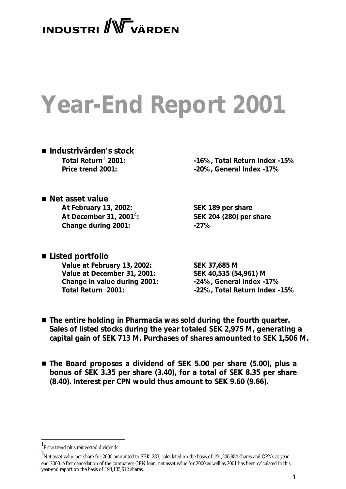# **INDUSTRI** WVARDEN

# **Year-End Report 2001**

n *Industrivärden's stock* Total Return<sup>1</sup> 2001:<br>Price trend 2001:

 **2001: -16%, Total Return Index -15% Price trend 2001: -20%, General Index -17%**

- *Net asset value* **At February 13, 2002: SEK 189 per share At December 31, 2001<sup>2</sup>: Change during 2001: -27%**
- *Listed portfolio* **Value at February 13, 2002: SEK 37,685 M Value at December 31, 2001: SEK 40,535 (54,961) M Change in value during 2001: -24%, General Index -17%**

**: SEK 204 (280) per share**

**Total Return**<sup>1</sup>**2001: -22%, Total Return Index -15%**

- The entire holding in Pharmacia was sold during the fourth quarter. *Sales of listed stocks during the year totaled SEK 2,975 M, generating a capital gain of SEK 713 M. Purchases of shares amounted to SEK 1,506 M.*
- *The Board proposes a dividend of SEK 5.00 per share (5.00), plus a bonus of SEK 3.35 per share (3.40), for a total of SEK 8.35 per share (8.40). Interest per CPN would thus amount to SEK 9.60 (9.66).*

<sup>1</sup> Price trend plus reinvested dividends.

<sup>2</sup> Net asset value per share for 2000 amounted to SEK 283, calculated on the basis of 191,206,984 shares and CPNs at yearend 2000. After cancellation of the company's CPN loan, net asset value for 2000 as well as 2001 has been calculated in this year-end report on the basis of 193,135,612 shares.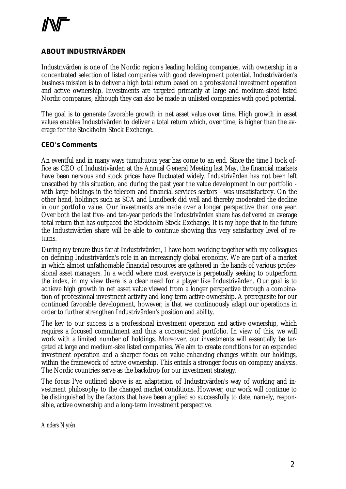### **ABOUT INDUSTRIVÄRDEN**

Industrivärden is one of the Nordic region's leading holding companies, with ownership in a concentrated selection of listed companies with good development potential. Industrivärden's business mission is to deliver a high total return based on a professional investment operation and active ownership. Investments are targeted primarily at large and medium-sized listed Nordic companies, although they can also be made in unlisted companies with good potential.

The goal is to generate favorable growth in net asset value over time. High growth in asset values enables Industrivärden to deliver a total return which, over time, is higher than the average for the Stockholm Stock Exchange.

#### **CEO's Comments**

An eventful and in many ways tumultuous year has come to an end. Since the time I took office as CEO of Industrivärden at the Annual General Meeting last May, the financial markets have been nervous and stock prices have fluctuated widely. Industrivärden has not been left unscathed by this situation, and during the past year the value development in our portfolio with large holdings in the telecom and financial services sectors - was unsatisfactory. On the other hand, holdings such as SCA and Lundbeck did well and thereby moderated the decline in our portfolio value. Our investments are made over a longer perspective than one year. Over both the last five- and ten-year periods the Industrivärden share has delivered an average total return that has outpaced the Stockholm Stock Exchange. It is my hope that in the future the Industrivärden share will be able to continue showing this very satisfactory level of returns.

During my tenure thus far at Industrivärden, I have been working together with my colleagues on defining Industrivärden's role in an increasingly global economy. We are part of a market in which almost unfathomable financial resources are gathered in the hands of various professional asset managers. In a world where most everyone is perpetually seeking to outperform the index, in my view there is a clear need for a player like Industrivärden. Our goal is to achieve high growth in net asset value viewed from a longer perspective through a combination of professional investment activity and long-term active ownership. A prerequisite for our continued favorable development, however, is that we continuously adapt our operations in order to further strengthen Industrivärden's position and ability.

The key to our success is a professional investment operation and active ownership, which requires a focused commitment and thus a concentrated portfolio. In view of this, we will work with a limited number of holdings. Moreover, our investments will essentially be targeted at large and medium-size listed companies. We aim to create conditions for an expanded investment operation and a sharper focus on value-enhancing changes within our holdings, within the framework of active ownership. This entails a stronger focus on company analysis. The Nordic countries serve as the backdrop for our investment strategy.

The focus I've outlined above is an adaptation of Industrivärden's way of working and investment philosophy to the changed market conditions. However, our work will continue to be distinguished by the factors that have been applied so successfully to date, namely, responsible, active ownership and a long-term investment perspective.

*Anders Nyrén*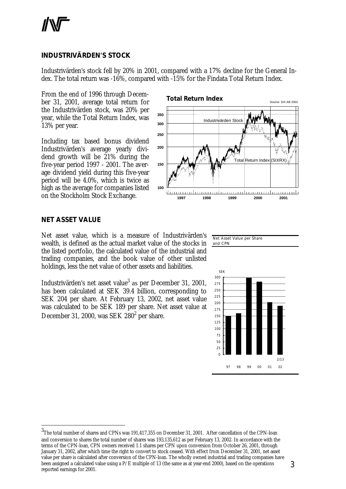#### **INDUSTRIVÄRDEN'S STOCK**

Industrivärden's stock fell by 20% in 2001, compared with a 17% decline for the General Index. The total return was -16%, compared with -15% for the Findata Total Return Index.

From the end of 1996 through December 31, 2001, average total return for the Industrivärden stock, was 20% per year, while the Total Return Index, was 13% per year.

Including tax based bonus dividend Industrivärden's average yearly dividend growth will be  $\tilde{21}$ % during the five-year period 1997 - 2001. The average dividend yield during this five-year period will be 4.0%, which is twice as high as the average for companies listed on the Stockholm Stock Exchange.



#### **NET ASSET VALUE**

l

Net asset value, which is a measure of Industrivärden's wealth, is defined as the actual market value of the stocks in the listed portfolio, the calculated value of the industrial and trading companies, and the book value of other unlisted holdings, less the net value of other assets and liabilities.

Industrivärden's net asset value<sup>3</sup> as per December 31, 2001, has been calculated at SEK 39.4 billion, corresponding to SEK 204 per share. At February 13, 2002, net asset value was calculated to be SEK 189 per share. Net asset value at December 31, 2000, was SEK 280<sup>2</sup> per share.

Net Asset Value per Share and CPN



<sup>3</sup> The total number of shares and CPNs was 191,417,355 on December 31, 2001. After cancellation of the CPN-loan and conversion to shares the total number of shares was 193,135,612 as per February 13, 2002. In accordance with the terms of the CPN-loan, CPN owners received 1.1 shares per CPN upon conversion from October 26, 2001, through January 31, 2002, after which time the right to convert to stock ceased. With effect from December 31, 2001, net asset value per share is calculated after conversion of the CPN-loan. The wholly owned industrial and trading companies have been assigned a calculated value using a P/E multiple of 13 (the same as at year-end 2000), based on the operations reported earnings for 2001.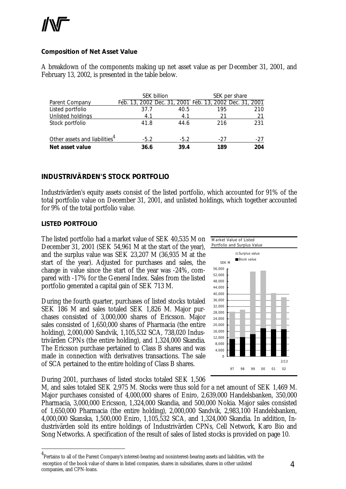#### **Composition of Net Asset Value**

A breakdown of the components making up net asset value as per December 31, 2001, and February 13, 2002, is presented in the table below.

|                                           | <b>SEK billion</b> |        |                                                         | SEK per share |
|-------------------------------------------|--------------------|--------|---------------------------------------------------------|---------------|
| Parent Company                            |                    |        | Feb. 13, 2002 Dec. 31, 2001 Feb. 13, 2002 Dec. 31, 2001 |               |
| Listed portfolio                          | 37.7               | 40.5   | 195                                                     | 210           |
| Unlisted holdings                         | 4.1                | 4.1    | 21                                                      | 21            |
| Stock portfolio                           | 41.8               | 44.6   | 216                                                     | 231           |
| Other assets and liabilities <sup>4</sup> | $-5.2$             | $-5.2$ | -27                                                     | $-27$         |
| Net asset value                           | 36.6               | 39.4   | 189                                                     | 204           |

#### **INDUSTRIVÄRDEN'S STOCK PORTFOLIO**

Industrivärden's equity assets consist of the listed portfolio, which accounted for 91% of the total portfolio value on December 31, 2001, and unlisted holdings, which together accounted for 9% of the total portfolio value.

#### *LISTED PORTFOLIO*

l

The listed portfolio had a market value of SEK 40,535 M on December 31, 2001 (SEK 54,961 M at the start of the year), and the surplus value was SEK 23,207 M (36,935 M at the start of the year). Adjusted for purchases and sales, the change in value since the start of the year was -24%, compared with -17% for the General Index. Sales from the listed portfolio generated a capital gain of SEK 713 M.

During the fourth quarter, purchases of listed stocks totaled SEK 186 M and sales totaled SEK 1,826 M. Major purchases consisted of 3,000,000 shares of Ericsson. Major sales consisted of 1,650,000 shares of Pharmacia (the entire holding), 2,000,000 Sandvik, 1,105,532 SCA, 738,020 Industrivärden CPNs (the entire holding), and 1,324,000 Skandia. The Ericsson purchase pertained to Class B shares and was made in connection with derivatives transactions. The sale of SCA pertained to the entire holding of Class B shares.

During 2001, purchases of listed stocks totaled SEK 1,506



M, and sales totaled SEK 2,975 M. Stocks were thus sold for a net amount of SEK 1,469 M. Major purchases consisted of 4,000,000 shares of Eniro, 2,639,000 Handelsbanken, 350,000 Pharmacia, 3,000,000 Ericsson, 1,324,000 Skandia, and 500,000 Nokia. Major sales consisted of 1,650,000 Pharmacia (the entire holding), 2,000,000 Sandvik, 2,983,100 Handelsbanken, 4,000,000 Skanska, 1,500,000 Eniro, 1,105,532 SCA, and 1,324,000 Skandia. In addition, Industrivärden sold its entire holdings of Industrivärden CPNs, Cell Network, Karo Bio and Song Networks. A specification of the result of sales of listed stocks is provided on page 10.

<sup>&</sup>lt;sup>4</sup> Pertains to all of the Parent Company's interest-bearing and noninterest-bearing assets and liabilities, with the exception of the book value of shares in listed companies, shares in subsidiaries, shares in other unlisted companies, and CPN-loans.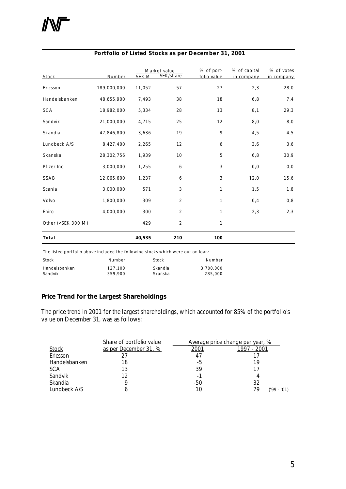| Stock                                                                                              | Number      | SEK M  | Market value<br>SEK/share | % of port-<br>folio value | % of capital<br>in company | % of votes<br>in company |
|----------------------------------------------------------------------------------------------------|-------------|--------|---------------------------|---------------------------|----------------------------|--------------------------|
| Ericsson                                                                                           | 189,000,000 | 11,052 | 57                        | 27                        | 2,3                        | 28,0                     |
| Handelsbanken                                                                                      | 48,655,900  | 7,493  | 38                        | 18                        | 6, 8                       | 7,4                      |
| SCA                                                                                                | 18,982,000  | 5,334  | 28                        | 13                        | 8,1                        | 29,3                     |
| Sandvik                                                                                            | 21,000,000  | 4,715  | 25                        | 12                        | $8,0$                      | 8,0                      |
| Skandia                                                                                            | 47,846,800  | 3,636  | 19                        | 9                         | 4,5                        | 4,5                      |
| Lundbeck A/S                                                                                       | 8,427,400   | 2,265  | 12                        | 6                         | 3,6                        | 3,6                      |
| Skanska                                                                                            | 28,302,756  | 1,939  | 10                        | 5                         | 6, 8                       | 30,9                     |
| Pfizer Inc.                                                                                        | 3,000,000   | 1,255  | 6                         | 3                         | 0, 0                       | 0, 0                     |
| SSAB                                                                                               | 12,065,600  | 1,237  | 6                         | 3                         | 12,0                       | 15,6                     |
| Scania                                                                                             | 3,000,000   | 571    | 3                         | $\mathbf{1}$              | 1,5                        | 1,8                      |
| Volvo                                                                                              | 1,800,000   | 309    | 2                         | 1                         | 0,4                        | 0,8                      |
| Eniro                                                                                              | 4,000,000   | 300    | $\overline{2}$            | $\mathbf{1}$              | 2,3                        | 2,3                      |
| Other ( <sek 300="" m)<="" td=""><td></td><td>429</td><td>2</td><td>1</td><td></td><td></td></sek> |             | 429    | 2                         | 1                         |                            |                          |
| Total                                                                                              |             | 40,535 | 210                       | 100                       |                            |                          |

#### **Portfolio of Listed Stocks as per December 31, 2001**

The listed portfolio above included the following stocks which were out on loan:

| Stock         | Number  | Stock   | Number    |
|---------------|---------|---------|-----------|
| Handelsbanken | 127.100 | Skandia | 3,700,000 |
| Sandvik       | 359.900 | Skanska | 285.000   |

#### **Price Trend for the Largest Shareholdings**

The price trend in 2001 for the largest shareholdings, which accounted for 85% of the portfolio's value on December 31, was as follows:

|               | Share of portfolio value |              | Average price change per year, % |
|---------------|--------------------------|--------------|----------------------------------|
| <b>Stock</b>  | as per December 31, %    | <u> 2001</u> | 1997 - 2001                      |
| Ericsson      |                          | $-47$        |                                  |
| Handelsbanken | 18                       | -5           | 19                               |
| <b>SCA</b>    | 13                       | 39           |                                  |
| Sandvik       | 12                       | -1           |                                  |
| Skandia       |                          | -50          | 32                               |
| Lundbeck A/S  |                          | 10           | 79<br>$-101$<br>('99-            |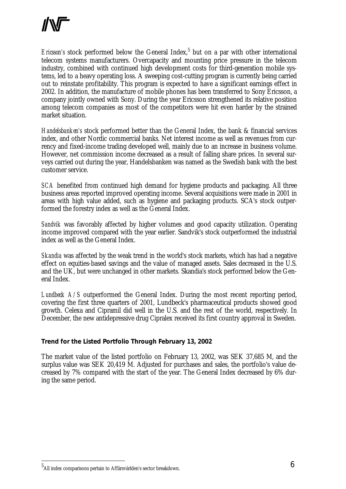Ericsson's stock performed below the General Index,<sup>5</sup> but on a par with other international telecom systems manufacturers. Overcapacity and mounting price pressure in the telecom industry, combined with continued high development costs for third-generation mobile systems, led to a heavy operating loss. A sweeping cost-cutting program is currently being carried out to reinstate profitability. This program is expected to have a significant earnings effect in 2002. In addition, the manufacture of mobile phones has been transferred to Sony Ericsson, a company jointly owned with Sony. During the year Ericsson strengthened its relative position among telecom companies as most of the competitors were hit even harder by the strained market situation.

*Handelsbanken's* stock performed better than the General Index, the bank & financial services index, and other Nordic commercial banks. Net interest income as well as revenues from currency and fixed-income trading developed well, mainly due to an increase in business volume. However, net commission income decreased as a result of falling share prices. In several surveys carried out during the year, Handelsbanken was named as the Swedish bank with the best customer service.

*SCA* benefited from continued high demand for hygiene products and packaging. All three business areas reported improved operating income. Several acquisitions were made in 2001 in areas with high value added, such as hygiene and packaging products. SCA's stock outperformed the forestry index as well as the General Index.

*Sandvik* was favorably affected by higher volumes and good capacity utilization. Operating income improved compared with the year earlier. Sandvik's stock outperformed the industrial index as well as the General Index.

*Skandia* was affected by the weak trend in the world's stock markets, which has had a negative effect on equities-based savings and the value of managed assets. Sales decreased in the U.S. and the UK, but were unchanged in other markets. Skandia's stock performed below the General Index.

*Lundbeck A/S* outperformed the General Index. During the most recent reporting period, covering the first three quarters of 2001, Lundbeck's pharmaceutical products showed good growth. Celexa and Cipramil did well in the U.S. and the rest of the world, respectively. In December, the new antidepressive drug Cipralex received its first country approval in Sweden.

#### **Trend for the Listed Portfolio Through February 13, 2002**

The market value of the listed portfolio on February 13, 2002, was SEK 37,685 M, and the surplus value was SEK 20,419 M. Adjusted for purchases and sales, the portfolio's value decreased by 7% compared with the start of the year. The General Index decreased by 6% during the same period.

 $^5$ All index comparisons pertain to Affärsvärlden's sector breakdown.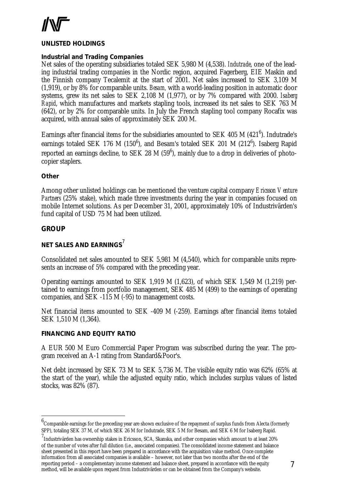

#### *UNLISTED HOLDINGS*

#### **Industrial and Trading Companies**

Net sales of the operating subsidiaries totaled SEK 5,980 M (4,538). *Indutrade*, one of the leading industrial trading companies in the Nordic region, acquired Fagerberg, EIE Maskin and the Finnish company Tecalemit at the start of 2001. Net sales increased to SEK 3,109 M (1,919), or by 8% for comparable units. *Besam,* with a world-leading position in automatic door systems, grew its net sales to SEK 2,108 M (1,977), or by 7% compared with 2000. *Isaberg Rapid*, which manufactures and markets stapling tools, increased its net sales to SEK 763 M (642), or by 2% for comparable units. In July the French stapling tool company Rocafix was acquired, with annual sales of approximately SEK 200 M.

Earnings after financial items for the subsidiaries amounted to SEK 405 M (421 $^6$ ). Indutrade's earnings totaled SEK 176 M (150 $^6$ ), and Besam's totaled SEK 201 M (212 $^6$ ). Isaberg Rapid reported an earnings decline, to SEK 28 M (59 $^6$ ), mainly due to a drop in deliveries of photocopier staplers.

#### **Other**

Among other unlisted holdings can be mentioned the venture capital company *Ericsson Venture Partners* (25% stake), which made three investments during the year in companies focused on mobile Internet solutions. As per December 31, 2001, approximately 10% of Industrivärden's fund capital of USD 75 M had been utilized.

#### **GROUP**

l

# *NET SALES AND EARNINGS*<sup>7</sup>

Consolidated net sales amounted to SEK 5,981 M (4,540), which for comparable units represents an increase of 5% compared with the preceding year.

Operating earnings amounted to SEK 1,919 M (1,623), of which SEK 1,549 M (1,219) pertained to earnings from portfolio management, SEK 485 M (499) to the earnings of operating companies, and SEK -115 M (-95) to management costs.

Net financial items amounted to SEK -409 M (-259). Earnings after financial items totaled SEK 1,510 M (1,364).

#### *FINANCING AND EQUITY RATIO*

A EUR 500 M Euro Commercial Paper Program was subscribed during the year. The program received an A-1 rating from Standard&Poor's.

Net debt increased by SEK 73 M to SEK 5,736 M. The visible equity ratio was 62% (65% at the start of the year), while the adjusted equity ratio, which includes surplus values of listed stocks, was 82% (87).

 $6$ Comparable earnings for the preceding year are shown exclusive of the repayment of surplus funds from Alecta (formerly SPP), totaling SEK 37 M, of which SEK 26 M for Indutrade, SEK 5 M for Besam, and SEK 6 M for Isaberg Rapid.

 $^7$ Industrivärden has ownership stakes in Ericsson, SCA, Skanska, and other companies which amount to at least 20% of the number of votes after full dilution (i.e., associated companies). The consolidated income statement and balance sheet presented in this report have been prepared in accordance with the acquisition value method. Once complete information from all associated companies is available – however, not later than two months after the end of the reporting period – a complementary income statement and balance sheet, prepared in accordance with the equity method, will be available upon request from Industrivärden or can be obtained from the Company's website.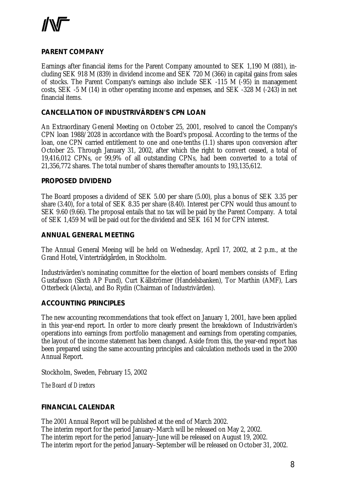

#### **PARENT COMPANY**

Earnings after financial items for the Parent Company amounted to SEK 1,190 M (881), including SEK 918 M (839) in dividend income and SEK 720 M (366) in capital gains from sales of stocks. The Parent Company's earnings also include SEK -115 M (-95) in management costs, SEK -5 M (14) in other operating income and expenses, and SEK -328 M (-243) in net financial items.

#### **CANCELLATION OF INDUSTRIVÄRDEN'S CPN LOAN**

An Extraordinary General Meeting on October 25, 2001, resolved to cancel the Company's CPN loan 1988/2028 in accordance with the Board's proposal. According to the terms of the loan, one CPN carried entitlement to one and one-tenths (1.1) shares upon conversion after October 25. Through January 31, 2002, after which the right to convert ceased, a total of 19,416,012 CPNs, or 99,9% of all outstanding CPNs, had been converted to a total of 21,356,772 shares. The total number of shares thereafter amounts to 193,135,612.

#### **PROPOSED DIVIDEND**

The Board proposes a dividend of SEK 5.00 per share (5.00), plus a bonus of SEK 3.35 per share (3.40), for a total of SEK 8.35 per share (8.40). Interest per CPN would thus amount to SEK 9.60 (9.66). The proposal entails that no tax will be paid by the Parent Company. A total of SEK 1,459 M will be paid out for the dividend and SEK 161 M for CPN interest.

#### **ANNUAL GENERAL MEETING**

The Annual General Meeing will be held on Wednesday, April 17, 2002, at 2 p.m., at the Grand Hotel, Vinterträdgården, in Stockholm.

Industrivärden's nominating committee for the election of board members consists of Erling Gustafsson (Sixth AP Fund), Curt Källströmer (Handelsbanken), Tor Marthin (AMF), Lars Otterbeck (Alecta), and Bo Rydin (Chairman of Industrivärden).

#### **ACCOUNTING PRINCIPLES**

The new accounting recommendations that took effect on January 1, 2001, have been applied in this year-end report. In order to more clearly present the breakdown of Industrivärden's operations into earnings from portfolio management and earnings from operating companies, the layout of the income statement has been changed. Aside from this, the year-end report has been prepared using the same accounting principles and calculation methods used in the 2000 Annual Report.

Stockholm, Sweden, February 15, 2002

*The Board of Directors*

#### **FINANCIAL CALENDAR**

The 2001 Annual Report will be published at the end of March 2002. The interim report for the period January–March will be released on May 2, 2002. The interim report for the period January–June will be released on August 19, 2002. The interim report for the period January–September will be released on October 31, 2002.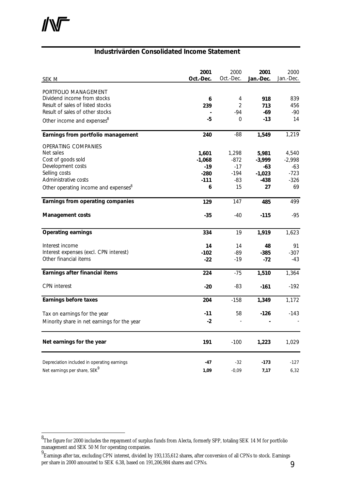l

#### **Industrivärden Consolidated Income Statement**

| <b>SEK M</b>                                        | 2001<br>Oct.-Dec. | 2000<br>Oct.-Dec. | 2001<br>Jan.-Dec. | 2000<br>Jan.-Dec. |
|-----------------------------------------------------|-------------------|-------------------|-------------------|-------------------|
|                                                     |                   |                   |                   |                   |
| PORTFOLIO MANAGEMENT<br>Dividend income from stocks | 6                 | 4                 | 918               | 839               |
| Result of sales of listed stocks                    | 239               | $\overline{2}$    | 713               | 456               |
| Result of sales of other stocks                     |                   | $-94$             | $-69$             | $-90$             |
|                                                     | -5                | $\overline{0}$    | $-13$             | 14                |
| Other income and expenses <sup>8</sup>              |                   |                   |                   |                   |
| Earnings from portfolio management                  | 240               | $-88$             | 1,549             | 1,219             |
| OPERATING COMPANIES                                 |                   |                   |                   |                   |
| Net sales                                           | 1,601             | 1,298             | 5,981             | 4,540             |
| Cost of goods sold                                  | $-1,068$          | $-872$            | $-3,999$          | $-2,998$          |
| Development costs                                   | $-19$             | $-17$             | $-63$             | $-63$             |
| Selling costs                                       | $-280$            | $-194$            | $-1,023$          | $-723$            |
| Administrative costs                                | $-111$            | -83               | $-438$            | $-326$            |
| Other operating income and expenses <sup>8</sup>    | 6                 | 15                | 27                | 69                |
| Earnings from operating companies                   | 129               | 147               | 485               | 499               |
| <b>Management costs</b>                             | $-35$             | $-40$             | $-115$            | $-95$             |
| <b>Operating earnings</b>                           | 334               | 19                | 1,919             | 1,623             |
| Interest income                                     | 14                | 14                | 48                | 91                |
| Interest expenses (excl. CPN interest)              | $-102$            | -89               | $-385$            | $-307$            |
| Other financial items                               | $-22$             | $-19$             | $-72$             | $-43$             |
| Earnings after financial items                      | 224               | $-75$             | 1,510             | 1,364             |
| <b>CPN</b> interest                                 | $-20$             | $-83$             | $-161$            | $-192$            |
| Earnings before taxes                               | 204               | $-158$            | 1,349             | 1,172             |
| Tax on earnings for the year                        | $-11$             | 58                | $-126$            | $-143$            |
| Minority share in net earnings for the year         | $-2$              |                   |                   |                   |
| Net earnings for the year                           | 191               | $-100$            | 1,223             | 1,029             |
| Depreciation included in operating earnings         | $-47$             | $-32$             | $-173$            | $-127$            |
| Net earnings per share, SEK <sup>9</sup>            | 1,09              | $-0,09$           | 7,17              | 6,32              |

<sup>&</sup>lt;sup>8</sup>The figure for 2000 includes the repayment of surplus funds from Alecta, formerly SPP, totaling SEK 14 M for portfolio management and SEK 50 M for operating companies.

<sup>9</sup> Earnings after tax, excluding CPN interest, divided by 193,135,612 shares, after conversion of all CPNs to stock. Earnings per share in 2000 amounted to SEK 6.38, based on 191,206,984 shares and CPNs.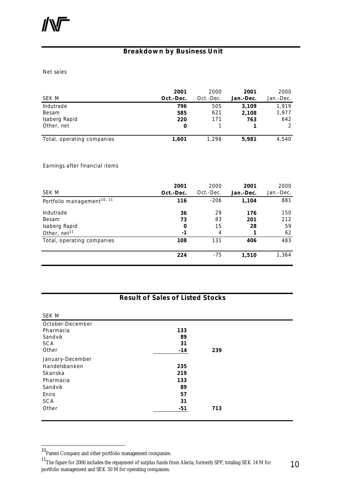### **Breakdown by Business Unit**

Net sales

| SEK M                      | 2001<br>Oct.-Dec. | 2000<br>Oct.-Dec. | 2001<br>Jan.-Dec. | 2000<br>Jan.-Dec. |
|----------------------------|-------------------|-------------------|-------------------|-------------------|
| Indutrade                  | 796               | 505               | 3,109             | 1.919             |
| Besam                      | 585               | 621               | 2,108             | 1,977             |
| Isaberg Rapid              | 220               | 171               | 763               | 642               |
| Other, net                 | 0                 |                   |                   |                   |
| Total, operating companies | 1,601             | 1.298             | 5,981             | 4,540             |

Earnings after financial items

|                                        | 2001      | 2000           | 2001      | 2000      |
|----------------------------------------|-----------|----------------|-----------|-----------|
| SEK M                                  | Oct.-Dec. | Oct.-Dec.      | Jan.-Dec. | Jan.-Dec. |
| Portfolio management <sup>10, 11</sup> | 116       | $-206$         | 1,104     | 881       |
| Indutrade                              | 36        | 29             | 176       | 150       |
| Besam                                  | 73        | 83             | 201       | 212       |
| Isaberg Rapid                          | 0         | 15             | 28        | 59        |
| Other, net <sup>11</sup>               | $-1$      | $\overline{4}$ |           | 62        |
| Total, operating companies             | 108       | 131            | 406       | 483       |
|                                        | 224       | $-75$          | 1,510     | 1,364     |

#### **Result of Sales of Listed Stocks**

| SEK M            |       |     |  |
|------------------|-------|-----|--|
| October-December |       |     |  |
| Pharmacia        | 133   |     |  |
| Sandvik          | 89    |     |  |
| SCA              | 31    |     |  |
| Other            | $-14$ | 239 |  |
| January-December |       |     |  |
| Handelsbanken    | 235   |     |  |
| Skanska          | 219   |     |  |
| Pharmacia        | 133   |     |  |
| Sandvik          | 89    |     |  |
| Eniro            | 57    |     |  |
| SCA              | 31    |     |  |
| Other            | $-51$ | 713 |  |
|                  |       |     |  |

<sup>10&</sup>lt;br>Parent Company and other portfolio management companies.

<sup>&</sup>lt;sup>11</sup>The figure for 2000 includes the repayment of surplus funds from Alecta, formerly SPP, totaling SEK 14 M for portfolio management and SEK 50 M for operating companies.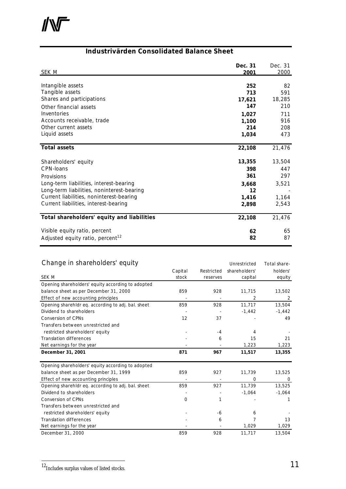

# **Industrivärden Consolidated Balance Sheet**

| <b>SEK M</b>                                 | Dec. 31<br>2001 | Dec. 31<br>2000 |
|----------------------------------------------|-----------------|-----------------|
|                                              |                 |                 |
| Intangible assets                            | 252             | 82              |
| Tangible assets                              | 713             | 591             |
| Shares and participations                    | 17,621          | 18,285          |
| Other financial assets                       | 147             | 210             |
| Inventories                                  | 1,027           | 711             |
| Accounts receivable, trade                   | 1,100           | 916             |
| Other current assets                         | 214             | 208             |
| Liquid assets                                | 1,034           | 473             |
| <b>Total assets</b>                          | 22,108          | 21,476          |
| Shareholders' equity                         | 13,355          | 13,504          |
| CPN-loans                                    | 398             | 447             |
| Provisions                                   | 361             | 297             |
| Long-term liabilities, interest-bearing      | 3,668           | 3,521           |
| Long-term liabilities, noninterest-bearing   | 12              |                 |
| Current liabilities, noninterest-bearing     | 1,416           | 1,164           |
| Current liabilities, interest-bearing        | 2,898           | 2,543           |
| Total shareholders' equity and liabilities   | 22,108          | 21,476          |
| Visible equity ratio, percent                | 62              | 65              |
| Adjusted equity ratio, percent <sup>12</sup> | 82              | 87              |

### Change in shareholders' equity entity and the Unrestricted Total share-

|                                                    | Capital  | Restricted | shareholders' | holders' |
|----------------------------------------------------|----------|------------|---------------|----------|
| <b>SEK M</b>                                       | stock    | reserves   | capital       | equity   |
| Opening shareholders' equity according to adopted  |          |            |               |          |
| balance sheet as per December 31, 2000             | 859      | 928        | 11,715        | 13,502   |
| Effect of new accounting principles                |          |            | 2             | 2        |
| Opening sharehldr eq. according to adj. bal. sheet | 859      | 928        | 11,717        | 13,504   |
| Dividend to shareholders                           |          |            | $-1,442$      | $-1,442$ |
| Conversion of CPNs                                 | 12       | 37         |               | 49       |
| Transfers between unrestricted and                 |          |            |               |          |
| restricted shareholders' equity                    |          | $-4$       | 4             |          |
| <b>Translation differences</b>                     |          | 6          | 15            | 21       |
| Net earnings for the year                          |          |            | 1,223         | 1,223    |
| December 31, 2001                                  | 871      | 967        | 11,517        | 13,355   |
| Opening shareholders' equity according to adopted  |          |            |               |          |
| balance sheet as per December 31, 1999             | 859      | 927        | 11,739        | 13,525   |
| Effect of new accounting principles                |          |            | $\mathbf 0$   | 0        |
| Opening sharehldr eq. according to adj. bal. sheet | 859      | 927        | 11,739        | 13,525   |
| Dividend to shareholders                           |          |            | $-1,064$      | $-1,064$ |
| Conversion of CPNs                                 | $\Omega$ | 1          |               |          |
| Transfers between unrestricted and                 |          |            |               |          |
| restricted shareholders' equity                    |          | -6         | 6             |          |
| <b>Translation differences</b>                     |          | 6          | 7             | 13       |
| Net earnings for the year                          |          |            | 1,029         | 1,029    |
| December 31, 2000                                  | 859      | 928        | 11,717        | 13,504   |

<sup>12&</sup>lt;br>Includes surplus values of listed stocks.